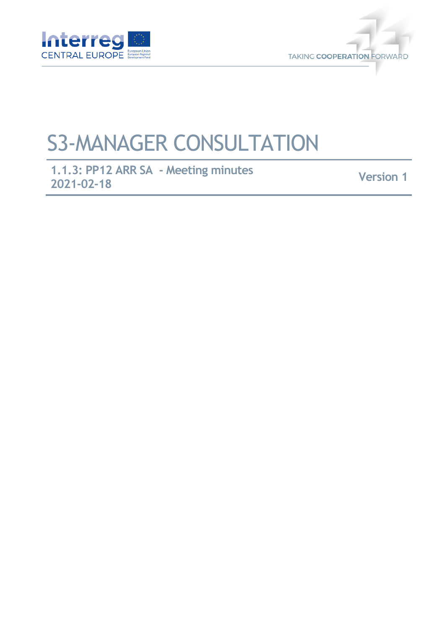



## S3-MANAGER CONSULTATION

**1.1.3: PP12 ARR SA - Meeting minutes 2021-02-18 Version 1**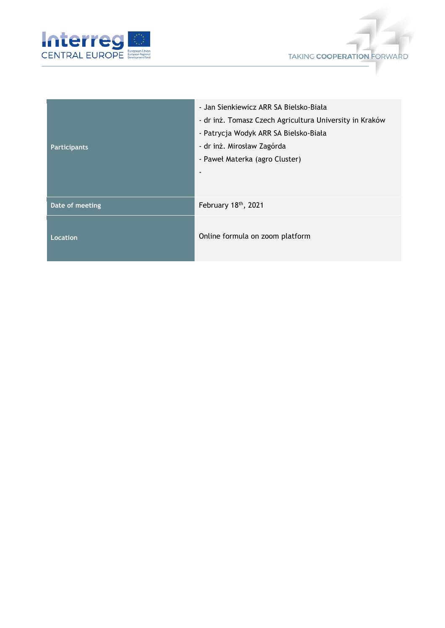



| <b>Participants</b> | - Jan Sienkiewicz ARR SA Bielsko-Biała<br>- dr inż. Tomasz Czech Agricultura University in Kraków<br>- Patrycja Wodyk ARR SA Bielsko-Biała<br>- dr inż. Mirosław Zagórda<br>- Paweł Materka (agro Cluster) |
|---------------------|------------------------------------------------------------------------------------------------------------------------------------------------------------------------------------------------------------|
| Date of meeting     | February 18th, 2021                                                                                                                                                                                        |
| Location            | Online formula on zoom platform                                                                                                                                                                            |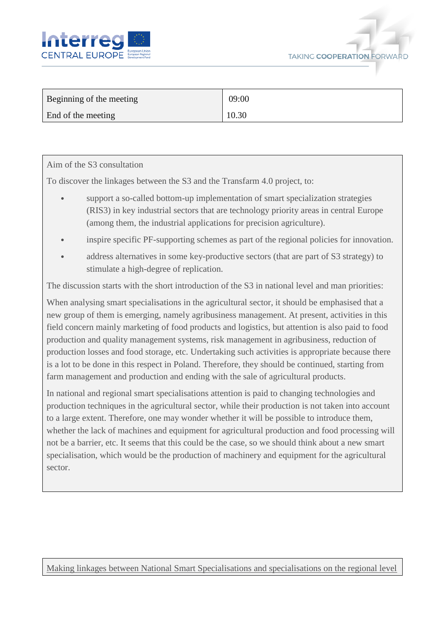



| Beginning of the meeting | 09:00 |
|--------------------------|-------|
| End of the meeting       | 10.30 |

## Aim of the S3 consultation

To discover the linkages between the S3 and the Transfarm 4.0 project, to:

- support a so-called bottom-up implementation of smart specialization strategies (RIS3) in key industrial sectors that are technology priority areas in central Europe (among them, the industrial applications for precision agriculture).
- inspire specific PF-supporting schemes as part of the regional policies for innovation.
- address alternatives in some key-productive sectors (that are part of S3 strategy) to stimulate a high-degree of replication.

The discussion starts with the short introduction of the S3 in national level and man priorities:

When analysing smart specialisations in the agricultural sector, it should be emphasised that a new group of them is emerging, namely agribusiness management. At present, activities in this field concern mainly marketing of food products and logistics, but attention is also paid to food production and quality management systems, risk management in agribusiness, reduction of production losses and food storage, etc. Undertaking such activities is appropriate because there is a lot to be done in this respect in Poland. Therefore, they should be continued, starting from farm management and production and ending with the sale of agricultural products.

In national and regional smart specialisations attention is paid to changing technologies and production techniques in the agricultural sector, while their production is not taken into account to a large extent. Therefore, one may wonder whether it will be possible to introduce them, whether the lack of machines and equipment for agricultural production and food processing will not be a barrier, etc. It seems that this could be the case, so we should think about a new smart specialisation, which would be the production of machinery and equipment for the agricultural sector.

Making linkages between National Smart Specialisations and specialisations on the regional level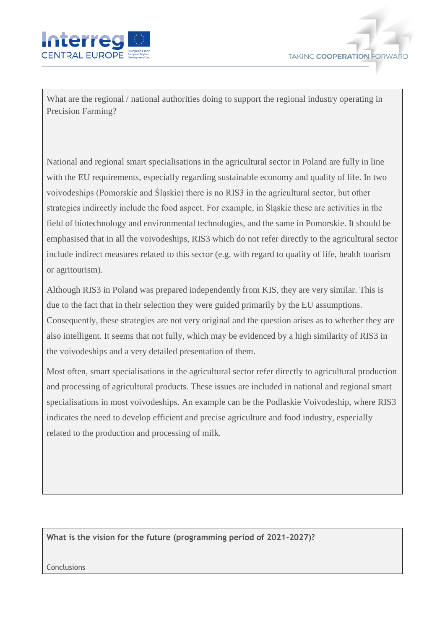



What are the regional / national authorities doing to support the regional industry operating in Precision Farming?

National and regional smart specialisations in the agricultural sector in Poland are fully in line with the EU requirements, especially regarding sustainable economy and quality of life. In two voivodeships (Pomorskie and Śląskie) there is no RIS3 in the agricultural sector, but other strategies indirectly include the food aspect. For example, in Śląskie these are activities in the field of biotechnology and environmental technologies, and the same in Pomorskie. It should be emphasised that in all the voivodeships, RIS3 which do not refer directly to the agricultural sector include indirect measures related to this sector (e.g. with regard to quality of life, health tourism or agritourism).

Although RIS3 in Poland was prepared independently from KIS, they are very similar. This is due to the fact that in their selection they were guided primarily by the EU assumptions. Consequently, these strategies are not very original and the question arises as to whether they are also intelligent. It seems that not fully, which may be evidenced by a high similarity of RIS3 in the voivodeships and a very detailed presentation of them.

Most often, smart specialisations in the agricultural sector refer directly to agricultural production and processing of agricultural products. These issues are included in national and regional smart specialisations in most voivodeships. An example can be the Podlaskie Voivodeship, where RIS3 indicates the need to develop efficient and precise agriculture and food industry, especially related to the production and processing of milk.

**What is the vision for the future (programming period of 2021-2027)?**

Conclusions